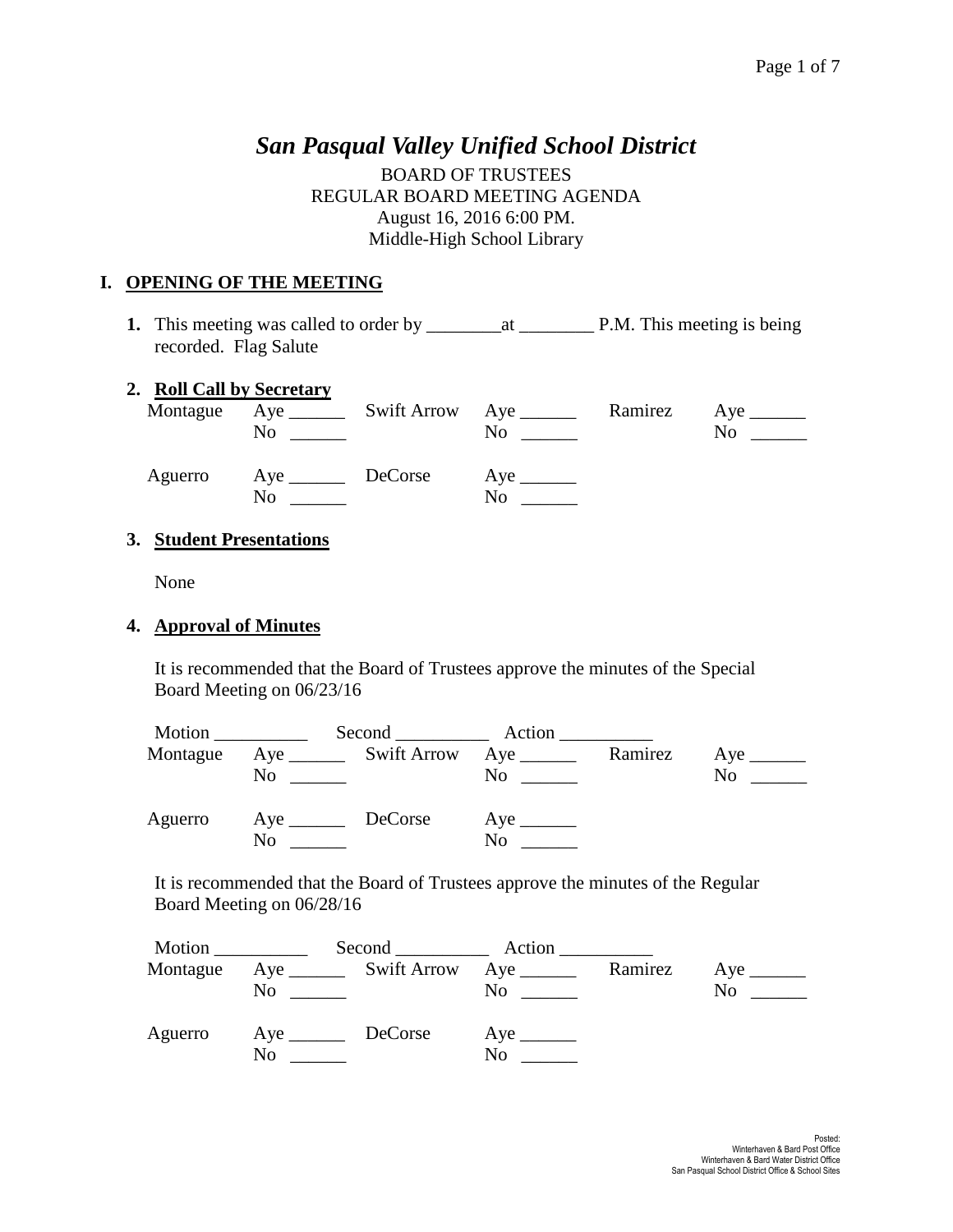# *San Pasqual Valley Unified School District*

BOARD OF TRUSTEES REGULAR BOARD MEETING AGENDA August 16, 2016 6:00 PM. Middle-High School Library

### **I. OPENING OF THE MEETING**

**1.** This meeting was called to order by \_\_\_\_\_\_\_\_at \_\_\_\_\_\_\_\_ P.M. This meeting is being recorded. Flag Salute

### **2. Roll Call by Secretary**

|         | No                | Montague Aye _________ Swift Arrow Aye _______<br>No. | Ramirez | No |
|---------|-------------------|-------------------------------------------------------|---------|----|
| Aguerro | Aye DeCorse<br>No | No.                                                   |         |    |

### **3. Student Presentations**

None

#### **4. Approval of Minutes**

It is recommended that the Board of Trustees approve the minutes of the Special Board Meeting on 06/23/16

| Motion   |                |                                       | Second Action |         |    |
|----------|----------------|---------------------------------------|---------------|---------|----|
| Montague | N <sub>0</sub> | Aye _________ Swift Arrow Aye _______ | No            | Ramirez | No |
| Aguerro  | N <sub>0</sub> | DeCorse                               | No            |         |    |

It is recommended that the Board of Trustees approve the minutes of the Regular Board Meeting on 06/28/16

|          |     |                                       | Second Action |         |     |
|----------|-----|---------------------------------------|---------------|---------|-----|
| Montague | No. | Aye _________ Swift Arrow Aye _______ | $\rm No$      | Ramirez | No. |
| Aguerro  | No  |                                       | No            |         |     |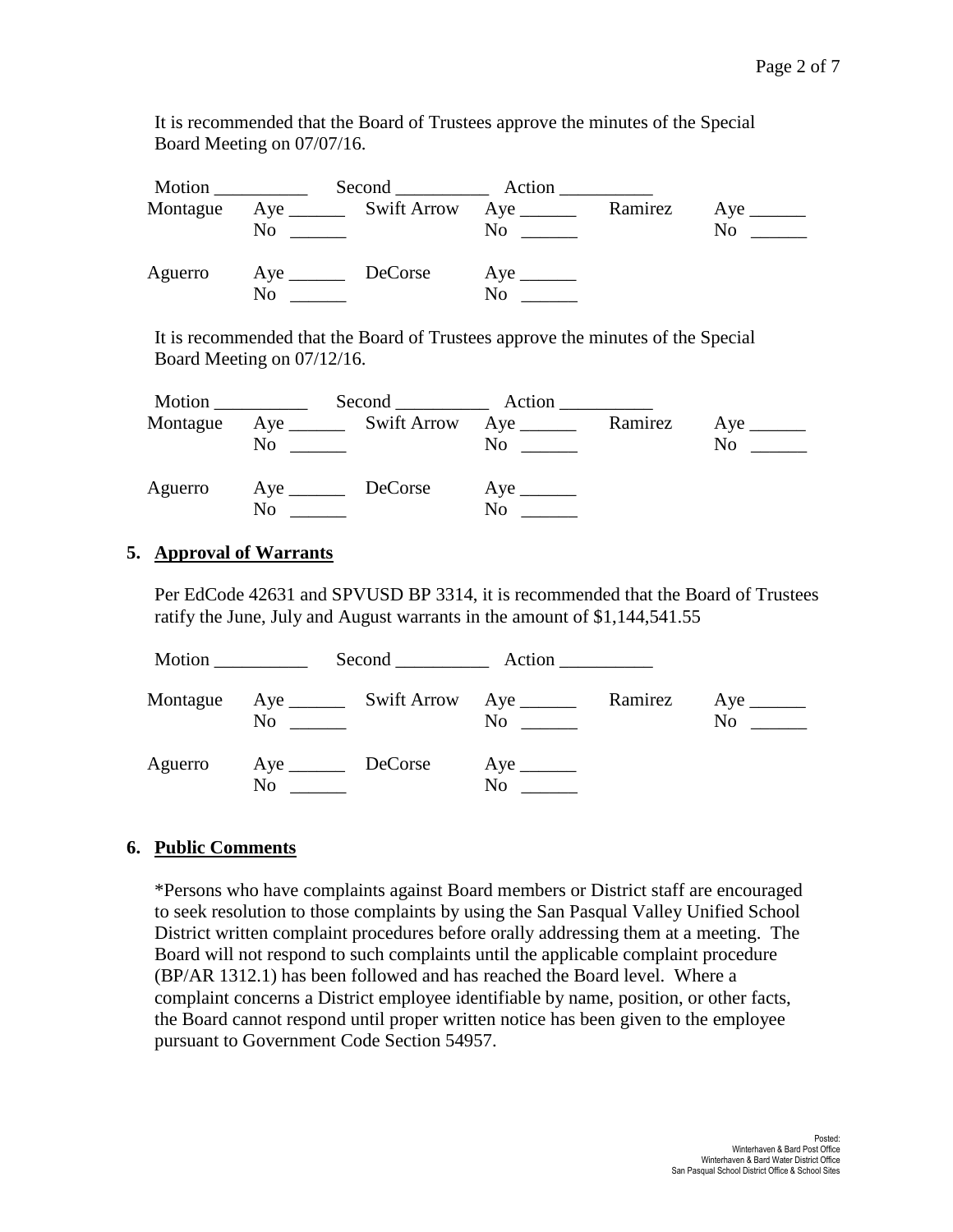It is recommended that the Board of Trustees approve the minutes of the Special Board Meeting on 07/07/16.

| Motion   |                             | Second Action                          |    |         |    |
|----------|-----------------------------|----------------------------------------|----|---------|----|
| Montague | No                          | Aye __________ Swift Arrow Aye _______ |    | Ramirez | No |
| Aguerro  | Aye _________ DeCorse<br>No |                                        | No |         |    |

It is recommended that the Board of Trustees approve the minutes of the Special Board Meeting on 07/12/16.

| Motion   |    | Second Action |                                                                 |         |    |
|----------|----|---------------|-----------------------------------------------------------------|---------|----|
| Montague | No |               | Aye _________ Swift Arrow Aye _______<br>$\overline{\text{No}}$ | Ramirez | No |
| Aguerro  | No |               | No                                                              |         |    |

### **5. Approval of Warrants**

Per EdCode 42631 and SPVUSD BP 3314, it is recommended that the Board of Trustees ratify the June, July and August warrants in the amount of \$1,144,541.55

|          |                   | Second Action      |         |     |
|----------|-------------------|--------------------|---------|-----|
| Montague | $\rm No$          | $\overline{N_{0}}$ | Ramirez | No. |
| Aguerro  | Aye DeCorse<br>No | No                 |         |     |

### **6. Public Comments**

\*Persons who have complaints against Board members or District staff are encouraged to seek resolution to those complaints by using the San Pasqual Valley Unified School District written complaint procedures before orally addressing them at a meeting. The Board will not respond to such complaints until the applicable complaint procedure (BP/AR 1312.1) has been followed and has reached the Board level. Where a complaint concerns a District employee identifiable by name, position, or other facts, the Board cannot respond until proper written notice has been given to the employee pursuant to Government Code Section 54957.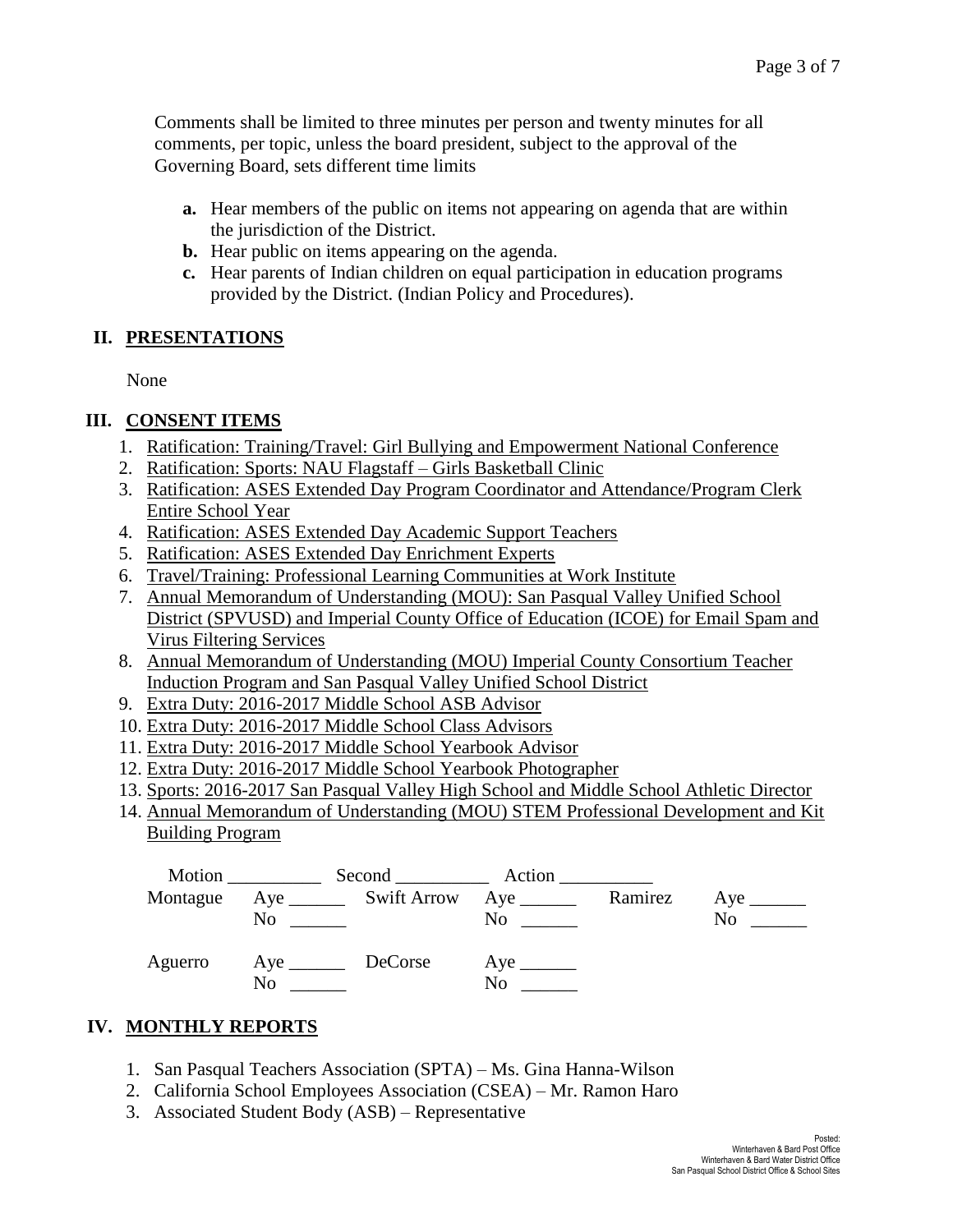Comments shall be limited to three minutes per person and twenty minutes for all comments, per topic, unless the board president, subject to the approval of the Governing Board, sets different time limits

- **a.** Hear members of the public on items not appearing on agenda that are within the jurisdiction of the District.
- **b.** Hear public on items appearing on the agenda.
- **c.** Hear parents of Indian children on equal participation in education programs provided by the District. (Indian Policy and Procedures).

## **II. PRESENTATIONS**

None

## **III. CONSENT ITEMS**

- 1. Ratification: Training/Travel: Girl Bullying and Empowerment National Conference
- 2. Ratification: Sports: NAU Flagstaff Girls Basketball Clinic
- 3. Ratification: ASES Extended Day Program Coordinator and Attendance/Program Clerk Entire School Year
- 4. Ratification: ASES Extended Day Academic Support Teachers
- 5. Ratification: ASES Extended Day Enrichment Experts
- 6. Travel/Training: Professional Learning Communities at Work Institute
- 7. Annual Memorandum of Understanding (MOU): San Pasqual Valley Unified School District (SPVUSD) and Imperial County Office of Education (ICOE) for Email Spam and Virus Filtering Services
- 8. Annual Memorandum of Understanding (MOU) Imperial County Consortium Teacher Induction Program and San Pasqual Valley Unified School District
- 9. Extra Duty: 2016-2017 Middle School ASB Advisor
- 10. Extra Duty: 2016-2017 Middle School Class Advisors
- 11. Extra Duty: 2016-2017 Middle School Yearbook Advisor
- 12. Extra Duty: 2016-2017 Middle School Yearbook Photographer
- 13. Sports: 2016-2017 San Pasqual Valley High School and Middle School Athletic Director
- 14. Annual Memorandum of Understanding (MOU) STEM Professional Development and Kit Building Program



## **IV. MONTHLY REPORTS**

- 1. San Pasqual Teachers Association (SPTA) Ms. Gina Hanna-Wilson
- 2. California School Employees Association (CSEA) Mr. Ramon Haro
- 3. Associated Student Body (ASB) Representative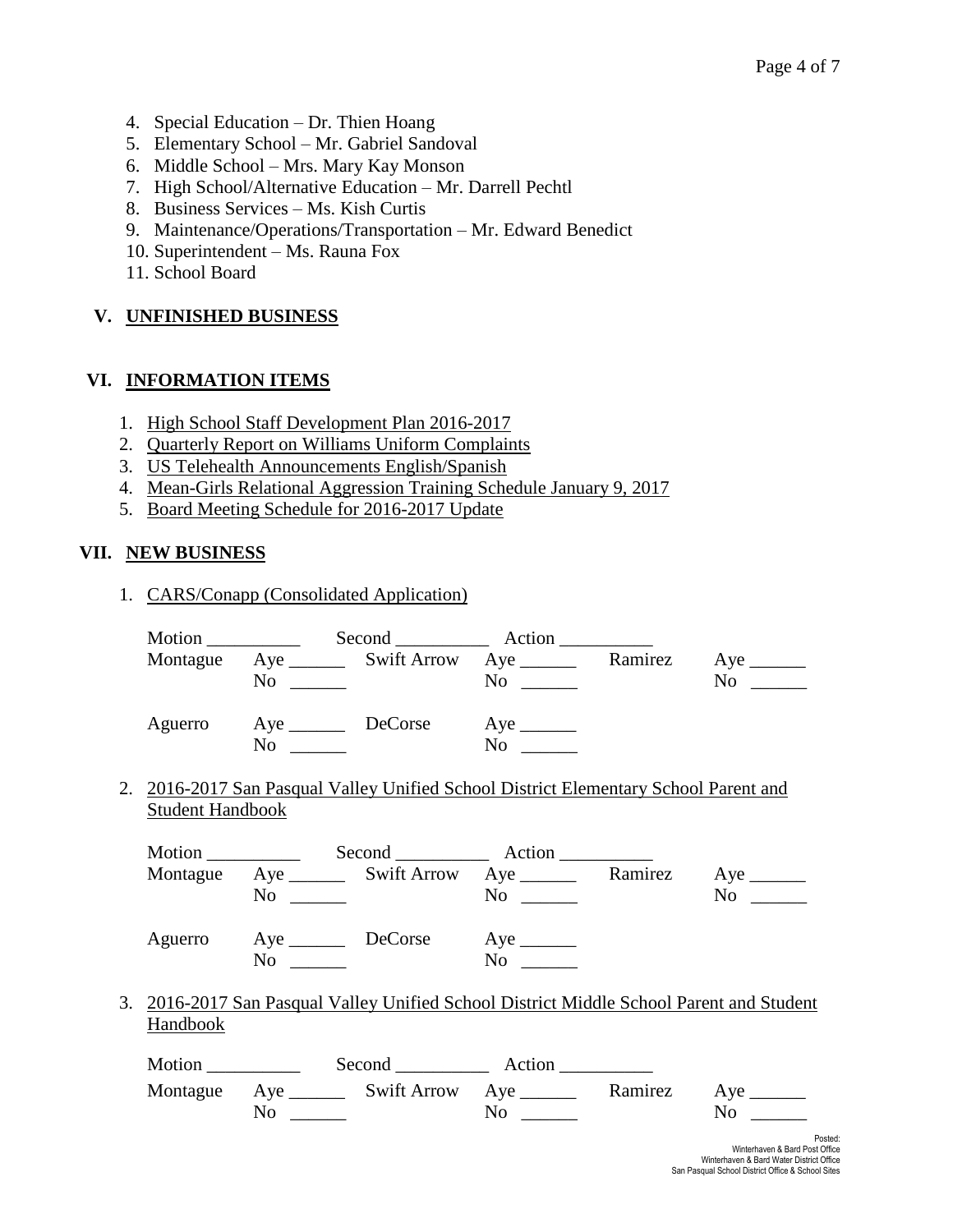- 4. Special Education Dr. Thien Hoang
- 5. Elementary School Mr. Gabriel Sandoval
- 6. Middle School Mrs. Mary Kay Monson
- 7. High School/Alternative Education Mr. Darrell Pechtl
- 8. Business Services Ms. Kish Curtis
- 9. Maintenance/Operations/Transportation Mr. Edward Benedict
- 10. Superintendent Ms. Rauna Fox
- 11. School Board

### **V. UNFINISHED BUSINESS**

### **VI. INFORMATION ITEMS**

- 1. High School Staff Development Plan 2016-2017
- 2. Quarterly Report on Williams Uniform Complaints
- 3. US Telehealth Announcements English/Spanish
- 4. Mean-Girls Relational Aggression Training Schedule January 9, 2017
- 5. Board Meeting Schedule for 2016-2017 Update

### **VII. NEW BUSINESS**

1. CARS/Conapp (Consolidated Application)

|                         |           |                                  | Montague Aye ________ Swift Arrow Aye ________ Ramirez Aye _______                       |                |
|-------------------------|-----------|----------------------------------|------------------------------------------------------------------------------------------|----------------|
|                         | $No \ \_$ |                                  |                                                                                          | $No \ \_$      |
|                         |           | Aguerro Aye DeCorse Aye          |                                                                                          |                |
|                         | $No \_\_$ |                                  | No                                                                                       |                |
|                         |           |                                  | 2. 2016-2017 San Pasqual Valley Unified School District Elementary School Parent and     |                |
| <b>Student Handbook</b> |           |                                  |                                                                                          |                |
|                         |           |                                  |                                                                                          |                |
|                         |           |                                  | Montague Aye ________ Swift Arrow Aye ________ Ramirez Aye _______                       |                |
|                         | $No \ \_$ |                                  |                                                                                          |                |
|                         |           | Aguerro Aye DeCorse Aye ________ |                                                                                          |                |
|                         | $No \ \_$ |                                  | $No \t —$                                                                                |                |
|                         |           |                                  | 3. 2016-2017 San Pasqual Valley Unified School District Middle School Parent and Student |                |
| Handbook                |           |                                  |                                                                                          |                |
|                         |           |                                  |                                                                                          |                |
|                         |           |                                  | Montague Aye _________ Swift Arrow Aye __________ Ramirez Aye ________                   |                |
|                         | $No \ \_$ |                                  |                                                                                          | $No \ \_$      |
|                         |           |                                  |                                                                                          | P <sub>C</sub> |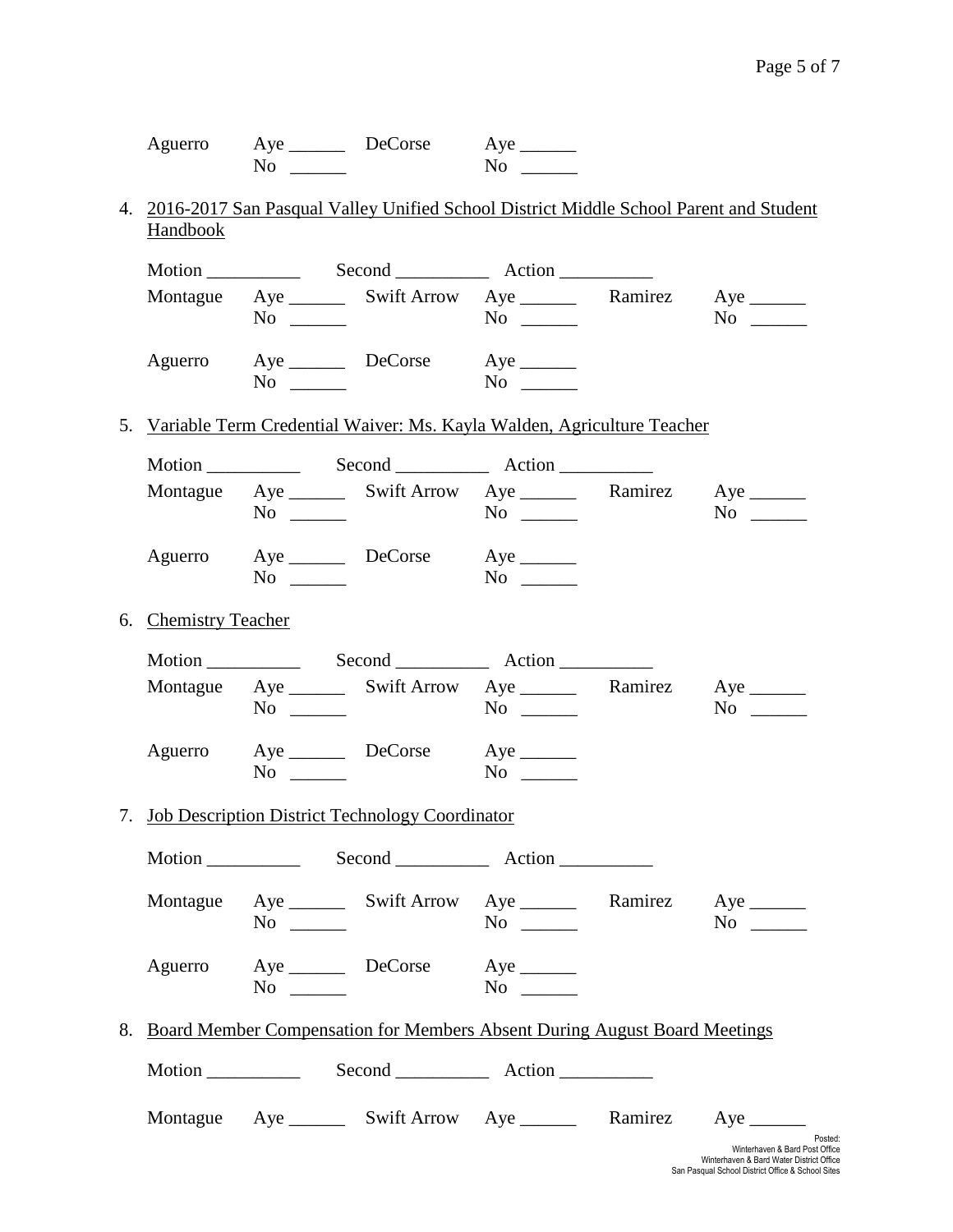| Aguerro | Aye | DeCorse | Aye |
|---------|-----|---------|-----|
|         | No  |         | No  |

### 4. 2016-2017 San Pasqual Valley Unified School District Middle School Parent and Student **Handbook**

|                                                    | $No \ \_$ | Montague Aye ________ Swift Arrow Aye ________ Ramirez Aye _______           | $No \ \_$ |  | $No \ \_$                 |  |
|----------------------------------------------------|-----------|------------------------------------------------------------------------------|-----------|--|---------------------------|--|
|                                                    |           | Aguerro Aye DeCorse Aye<br>$\overline{N}$ $\overline{\phantom{N}}$           | $No \ \_$ |  |                           |  |
|                                                    |           | 5. Variable Term Credential Waiver: Ms. Kayla Walden, Agriculture Teacher    |           |  |                           |  |
|                                                    |           |                                                                              |           |  |                           |  |
|                                                    | $No \ \_$ | Montague Aye _________ Swift Arrow Aye __________ Ramirez Aye ________       | $No \ \$  |  | $No \ \_$                 |  |
|                                                    | $No \ \_$ | Aguerro Aye DeCorse Aye ________                                             | $No \t —$ |  |                           |  |
| 6. Chemistry Teacher                               |           |                                                                              |           |  |                           |  |
|                                                    |           |                                                                              |           |  |                           |  |
|                                                    | $No \ \_$ | Montague Aye ________ Swift Arrow Aye _________ Ramirez Aye _______          |           |  | $No \_$                   |  |
|                                                    | $No \ \_$ | Aguerro Aye DeCorse Aye ________                                             | $No \ \_$ |  |                           |  |
| 7. Job Description District Technology Coordinator |           |                                                                              |           |  |                           |  |
|                                                    |           |                                                                              |           |  |                           |  |
|                                                    | $No \ \_$ | Montague Aye ________ Swift Arrow Aye ________ Ramirez Aye _______           | $No \ \_$ |  | $No \_$                   |  |
| Aguerro                                            | $No \t —$ | Aye DeCorse Aye                                                              | $No \t —$ |  |                           |  |
|                                                    |           | 8. Board Member Compensation for Members Absent During August Board Meetings |           |  |                           |  |
|                                                    |           |                                                                              |           |  |                           |  |
|                                                    |           | Montague Aye ________ Swift Arrow Aye ________ Ramirez                       |           |  | $Aye$ <sub>________</sub> |  |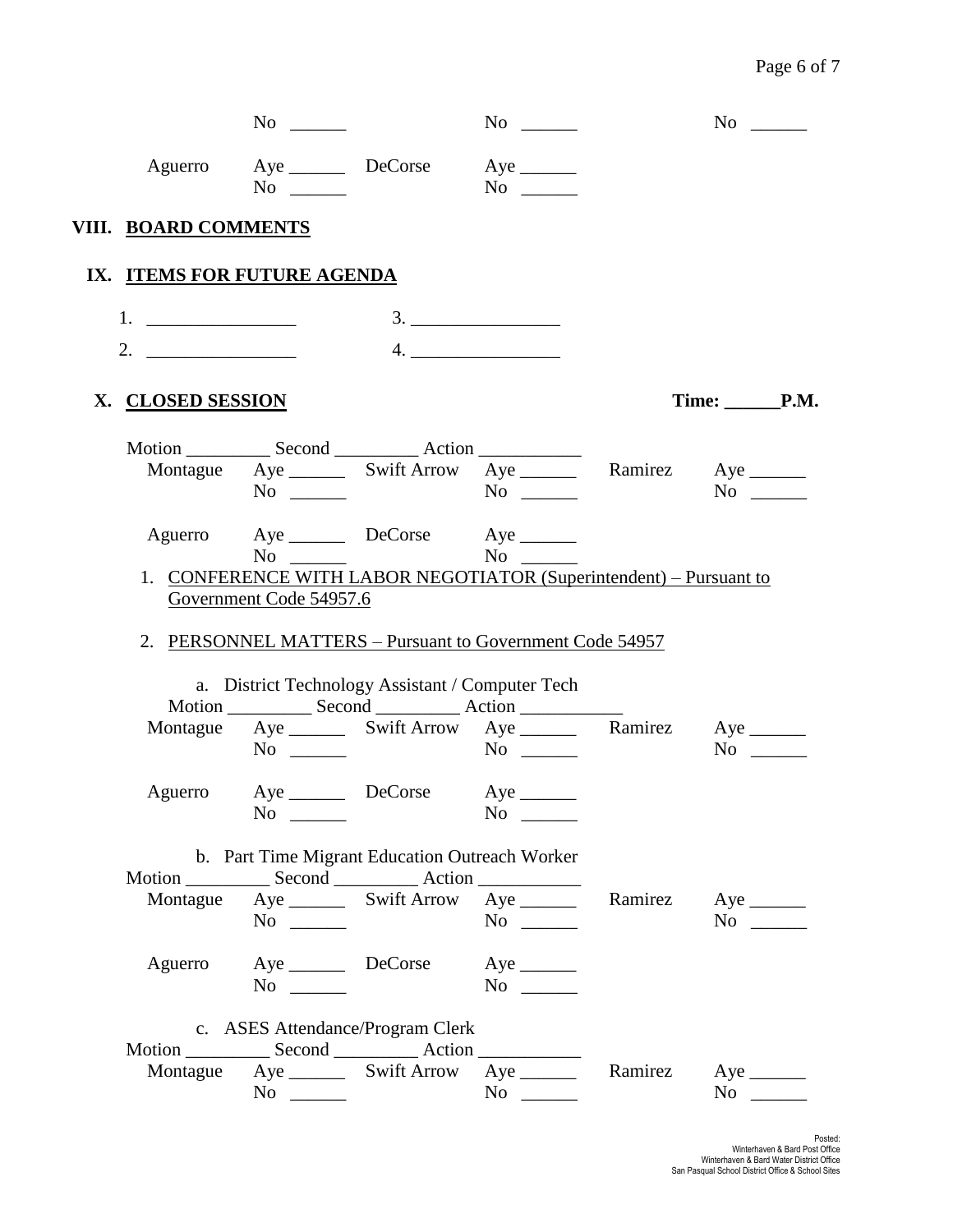## Page 6 of 7

|                             | No $\qquad$                          |                                                                                                                                    | $No \ \_$                                                                                                                                                                                                                                                                                                                                                                                                                                                                                                                           |         | No $\qquad$                           |
|-----------------------------|--------------------------------------|------------------------------------------------------------------------------------------------------------------------------------|-------------------------------------------------------------------------------------------------------------------------------------------------------------------------------------------------------------------------------------------------------------------------------------------------------------------------------------------------------------------------------------------------------------------------------------------------------------------------------------------------------------------------------------|---------|---------------------------------------|
|                             | Aguerro Aye DeCorse<br>$No \ \_$     |                                                                                                                                    | $Aye$ <sub>_______</sub><br>No $\qquad$                                                                                                                                                                                                                                                                                                                                                                                                                                                                                             |         |                                       |
| VIII. BOARD COMMENTS        |                                      |                                                                                                                                    |                                                                                                                                                                                                                                                                                                                                                                                                                                                                                                                                     |         |                                       |
| IX. ITEMS FOR FUTURE AGENDA |                                      |                                                                                                                                    |                                                                                                                                                                                                                                                                                                                                                                                                                                                                                                                                     |         |                                       |
|                             |                                      |                                                                                                                                    | 3.                                                                                                                                                                                                                                                                                                                                                                                                                                                                                                                                  |         |                                       |
| 2. $\qquad \qquad$          |                                      |                                                                                                                                    | $\begin{array}{c} \n 4. \quad \textcolor{red}{\overbrace{\text{2.22}}\textcolor{blue}{\overbrace{\text{2.33}}\textcolor{blue}{\overbrace{\text{2.43}}\textcolor{blue}{\overbrace{\text{2.53}}\textcolor{blue}{\overbrace{\text{2.63}}\textcolor{blue}{\overbrace{\text{2.63}}\textcolor{blue}{\overbrace{\text{2.63}}\textcolor{blue}{\overbrace{\text{2.63}}\textcolor{blue}{\overbrace{\text{2.63}}\textcolor{blue}{\overbrace{\text{2.63}}\textcolor{blue}{\overbrace{\text{2.63}}\textcolor{blue}{\overbrace{\text{2.63}}\text$ |         |                                       |
| X. CLOSED SESSION           |                                      |                                                                                                                                    |                                                                                                                                                                                                                                                                                                                                                                                                                                                                                                                                     |         | $Time: \_\_\_\_\_\$ P.M.              |
|                             |                                      |                                                                                                                                    |                                                                                                                                                                                                                                                                                                                                                                                                                                                                                                                                     |         |                                       |
|                             | $No \ \_$                            | Montague Aye ________ Swift Arrow Aye ________ Ramirez Aye _______                                                                 |                                                                                                                                                                                                                                                                                                                                                                                                                                                                                                                                     |         | $No \_$                               |
|                             |                                      | Aguerro Aye DeCorse Aye _______                                                                                                    |                                                                                                                                                                                                                                                                                                                                                                                                                                                                                                                                     |         |                                       |
|                             | $No \t —$<br>Government Code 54957.6 | 1. CONFERENCE WITH LABOR NEGOTIATOR (Superintendent) - Pursuant to                                                                 | No No                                                                                                                                                                                                                                                                                                                                                                                                                                                                                                                               |         |                                       |
|                             |                                      | 2. PERSONNEL MATTERS - Pursuant to Government Code 54957                                                                           |                                                                                                                                                                                                                                                                                                                                                                                                                                                                                                                                     |         |                                       |
|                             |                                      | a. District Technology Assistant / Computer Tech                                                                                   |                                                                                                                                                                                                                                                                                                                                                                                                                                                                                                                                     |         |                                       |
|                             |                                      | Montague Aye ________ Swift Arrow Aye _________ Ramirez Aye _______                                                                |                                                                                                                                                                                                                                                                                                                                                                                                                                                                                                                                     |         |                                       |
|                             | $No \ \_$                            |                                                                                                                                    |                                                                                                                                                                                                                                                                                                                                                                                                                                                                                                                                     |         | $No \ \_$                             |
|                             |                                      | Aguerro Aye DeCorse Aye ________                                                                                                   |                                                                                                                                                                                                                                                                                                                                                                                                                                                                                                                                     |         |                                       |
|                             | $\rm No$ $\qquad$                    |                                                                                                                                    |                                                                                                                                                                                                                                                                                                                                                                                                                                                                                                                                     |         |                                       |
|                             |                                      | b. Part Time Migrant Education Outreach Worker                                                                                     |                                                                                                                                                                                                                                                                                                                                                                                                                                                                                                                                     |         |                                       |
|                             |                                      | Motion _______________ Second _______________ Action ___________________________<br>Montague Aye _________ Swift Arrow Aye _______ |                                                                                                                                                                                                                                                                                                                                                                                                                                                                                                                                     | Ramirez | $Aye$ <sub>________</sub>             |
|                             | $No \ \_$                            |                                                                                                                                    |                                                                                                                                                                                                                                                                                                                                                                                                                                                                                                                                     |         | $No \_$                               |
| Aguerro                     | Aye DeCorse<br>$No \ \_$             |                                                                                                                                    | $Aye$ <sub>______</sub><br>$No \ \_$                                                                                                                                                                                                                                                                                                                                                                                                                                                                                                |         |                                       |
|                             | c. ASES Attendance/Program Clerk     |                                                                                                                                    |                                                                                                                                                                                                                                                                                                                                                                                                                                                                                                                                     |         |                                       |
|                             |                                      |                                                                                                                                    |                                                                                                                                                                                                                                                                                                                                                                                                                                                                                                                                     |         |                                       |
|                             |                                      |                                                                                                                                    |                                                                                                                                                                                                                                                                                                                                                                                                                                                                                                                                     |         |                                       |
|                             |                                      | Montague Aye _________ Swift Arrow Aye _______<br>$No \ \_$                                                                        | $No \ \_$                                                                                                                                                                                                                                                                                                                                                                                                                                                                                                                           | Ramirez | $Aye$ <sub>_______</sub><br>$No \ \_$ |